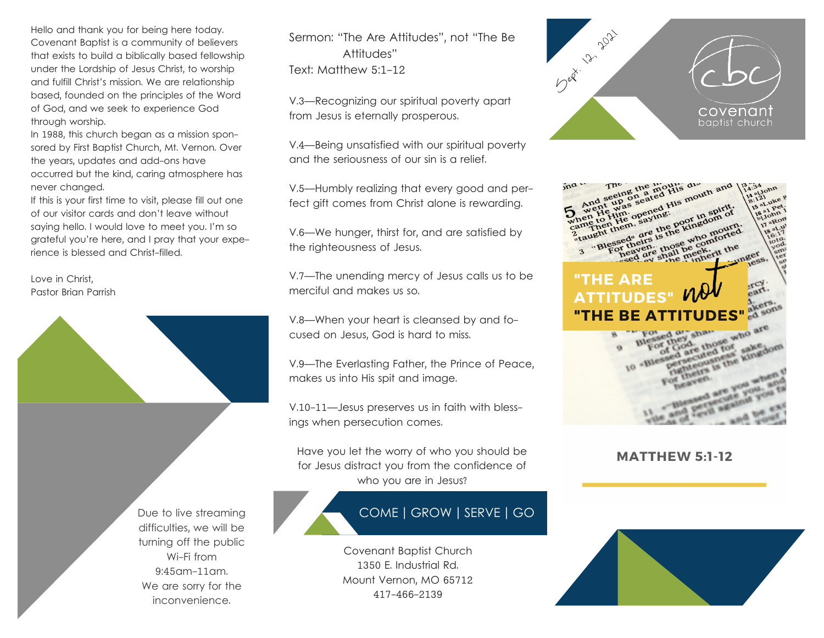Hello and thank you for being here today. Covenant Baptist is a community of believers that exists to build a biblically based fellowship under the Lordship of Jesus Christ, to worship and fulfill Christ's mission. We are relationship based, founded on the principles of the Word of God, and we seek to experience God through worship.

In 1988, this church began as a mission sponsored by First Baptist Church, Mt. Vernon. Over the years, updates and add-ons have occurred but the kind, caring atmosphere has never changed.

If this is your first time to visit, please fill out one of our visitor cards and don't leave without saying hello. I would love to meet you. I'm so grateful you're here, and I pray that your experience is blessed and Christ-filled.

Love in Christ, Pastor Brian Parrish



We are sorry for the inconvenience.

Sermon: "The Are Attitudes", not "The Be Attitudes" Text: Matthew 5:1-12

V.3—Recognizing our spiritual poverty apart from Jesus is eternally prosperous.

V.4—Being unsatisfied with our spiritual poverty and the seriousness of our sin is a relief.

V.5—Humbly realizing that every good and perfect gift comes from Christ alone is rewarding.

V.6—We hunger, thirst for, and are satisfied by the righteousness of Jesus.

V.7—The unending mercy of Jesus calls us to be merciful and makes us so.

V.8—When your heart is cleansed by and focused on Jesus, God is hard to miss.

V.9—The Everlasting Father, the Prince of Peace, makes us into His spit and image.

V.10-11—Jesus preserves us in faith with blessings when persecution comes.

Have you let the worry of who you should be for Jesus distract you from the confidence of who you are in Jesus?

# COME | GROW | SERVE | GO

Covenant Baptist Church 1350 E. Industrial Rd. Mount Vernon, MO 65712 417-466-2139





## **MATTHEW 5:1-12**